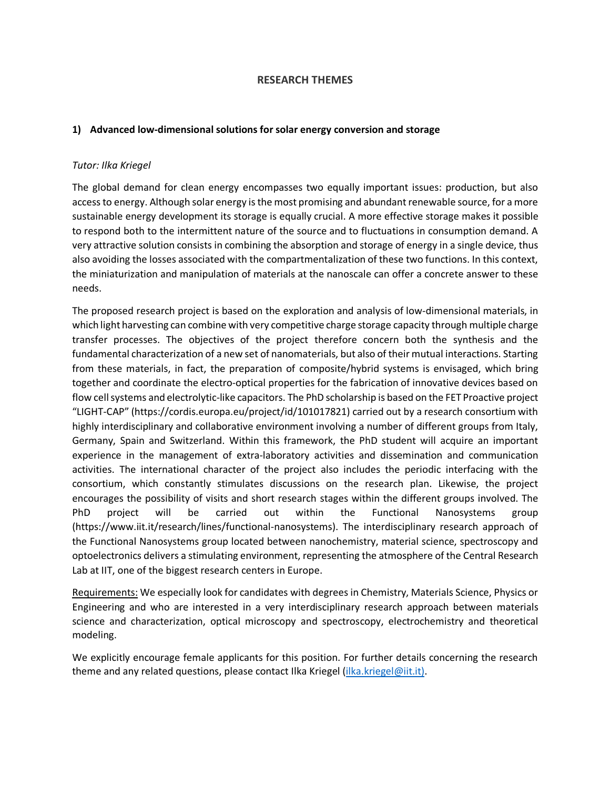### **RESEARCH THEMES**

#### **1) Advanced low-dimensional solutions for solar energy conversion and storage**

### *Tutor: Ilka Kriegel*

The global demand for clean energy encompasses two equally important issues: production, but also access to energy. Although solar energy is the most promising and abundant renewable source, for a more sustainable energy development its storage is equally crucial. A more effective storage makes it possible to respond both to the intermittent nature of the source and to fluctuations in consumption demand. A very attractive solution consists in combining the absorption and storage of energy in a single device, thus also avoiding the losses associated with the compartmentalization of these two functions. In this context, the miniaturization and manipulation of materials at the nanoscale can offer a concrete answer to these needs.

The proposed research project is based on the exploration and analysis of low-dimensional materials, in which light harvesting can combine with very competitive charge storage capacity through multiple charge transfer processes. The objectives of the project therefore concern both the synthesis and the fundamental characterization of a new set of nanomaterials, but also of their mutual interactions. Starting from these materials, in fact, the preparation of composite/hybrid systems is envisaged, which bring together and coordinate the electro-optical properties for the fabrication of innovative devices based on flow cell systems and electrolytic-like capacitors. The PhD scholarship is based on the FET Proactive project "LIGHT-CAP" (https://cordis.europa.eu/project/id/101017821) carried out by a research consortium with highly interdisciplinary and collaborative environment involving a number of different groups from Italy, Germany, Spain and Switzerland. Within this framework, the PhD student will acquire an important experience in the management of extra-laboratory activities and dissemination and communication activities. The international character of the project also includes the periodic interfacing with the consortium, which constantly stimulates discussions on the research plan. Likewise, the project encourages the possibility of visits and short research stages within the different groups involved. The PhD project will be carried out within the Functional Nanosystems group (https://www.iit.it/research/lines/functional-nanosystems). The interdisciplinary research approach of the Functional Nanosystems group located between nanochemistry, material science, spectroscopy and optoelectronics delivers a stimulating environment, representing the atmosphere of the Central Research Lab at IIT, one of the biggest research centers in Europe.

Requirements: We especially look for candidates with degrees in Chemistry, Materials Science, Physics or Engineering and who are interested in a very interdisciplinary research approach between materials science and characterization, optical microscopy and spectroscopy, electrochemistry and theoretical modeling.

We explicitly encourage female applicants for this position. For further details concerning the research theme and any related questions, please contact Ilka Kriegel (ilka.kriegel@iit.it).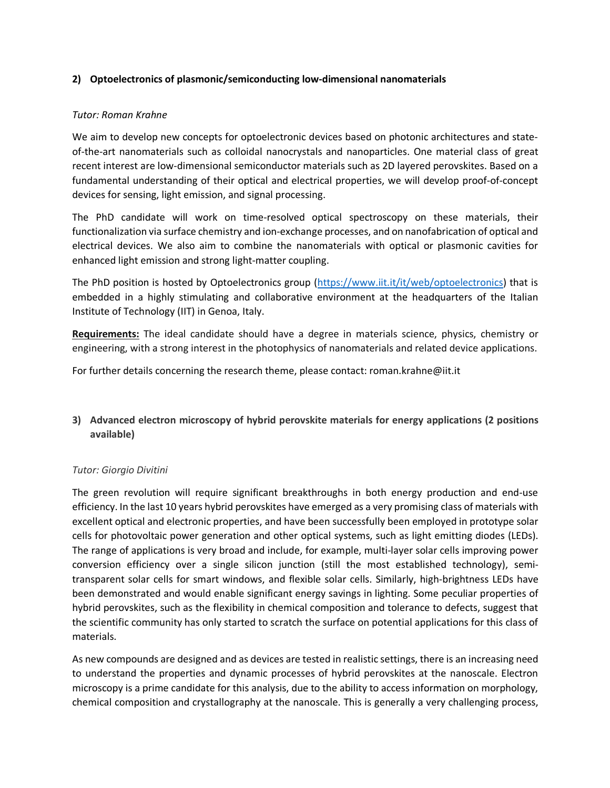## **2) Optoelectronics of plasmonic/semiconducting low-dimensional nanomaterials**

## *Tutor: Roman Krahne*

We aim to develop new concepts for optoelectronic devices based on photonic architectures and stateof-the-art nanomaterials such as colloidal nanocrystals and nanoparticles. One material class of great recent interest are low-dimensional semiconductor materials such as 2D layered perovskites. Based on a fundamental understanding of their optical and electrical properties, we will develop proof-of-concept devices for sensing, light emission, and signal processing.

The PhD candidate will work on time-resolved optical spectroscopy on these materials, their functionalization via surface chemistry and ion-exchange processes, and on nanofabrication of optical and electrical devices. We also aim to combine the nanomaterials with optical or plasmonic cavities for enhanced light emission and strong light-matter coupling.

The PhD position is hosted by Optoelectronics group (https://www.iit.it/it/web/optoelectronics) that is embedded in a highly stimulating and collaborative environment at the headquarters of the Italian Institute of Technology (IIT) in Genoa, Italy.

**Requirements:** The ideal candidate should have a degree in materials science, physics, chemistry or engineering, with a strong interest in the photophysics of nanomaterials and related device applications.

For further details concerning the research theme, please contact: roman.krahne@iit.it

# **3) Advanced electron microscopy of hybrid perovskite materials for energy applications (2 positions available)**

## *Tutor: Giorgio Divitini*

The green revolution will require significant breakthroughs in both energy production and end-use efficiency. In the last 10 years hybrid perovskites have emerged as a very promising class of materials with excellent optical and electronic properties, and have been successfully been employed in prototype solar cells for photovoltaic power generation and other optical systems, such as light emitting diodes (LEDs). The range of applications is very broad and include, for example, multi-layer solar cells improving power conversion efficiency over a single silicon junction (still the most established technology), semitransparent solar cells for smart windows, and flexible solar cells. Similarly, high-brightness LEDs have been demonstrated and would enable significant energy savings in lighting. Some peculiar properties of hybrid perovskites, such as the flexibility in chemical composition and tolerance to defects, suggest that the scientific community has only started to scratch the surface on potential applications for this class of materials.

As new compounds are designed and as devices are tested in realistic settings, there is an increasing need to understand the properties and dynamic processes of hybrid perovskites at the nanoscale. Electron microscopy is a prime candidate for this analysis, due to the ability to access information on morphology, chemical composition and crystallography at the nanoscale. This is generally a very challenging process,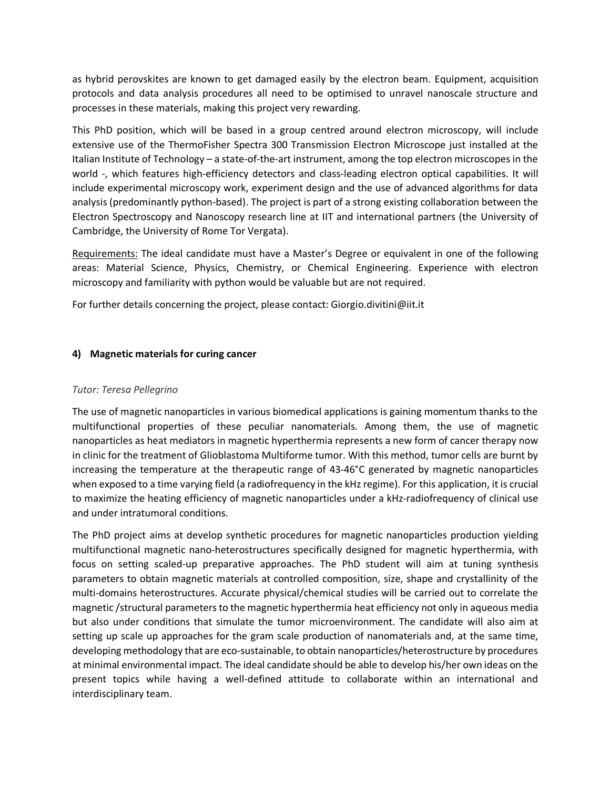as hybrid perovskites are known to get damaged easily by the electron beam. Equipment, acquisition protocols and data analysis procedures all need to be optimised to unravel nanoscale structure and processes in these materials, making this project very rewarding.

This PhD position, which will be based in a group centred around electron microscopy, will include extensive use of the ThermoFisher Spectra 300 Transmission Electron Microscope just installed at the Italian Institute of Technology – a state-of-the-art instrument, among the top electron microscopes in the world -, which features high-efficiency detectors and class-leading electron optical capabilities. It will include experimental microscopy work, experiment design and the use of advanced algorithms for data analysis (predominantly python-based). The project is part of a strong existing collaboration between the Electron Spectroscopy and Nanoscopy research line at IIT and international partners (the University of Cambridge, the University of Rome Tor Vergata).

Requirements: The ideal candidate must have a Master's Degree or equivalent in one of the following areas: Material Science, Physics, Chemistry, or Chemical Engineering. Experience with electron microscopy and familiarity with python would be valuable but are not required.

For further details concerning the project, please contact: Giorgio.divitini@iit.it

## **4) Magnetic materials for curing cancer**

## *Tutor: Teresa Pellegrino*

The use of magnetic nanoparticles in various biomedical applications is gaining momentum thanks to the multifunctional properties of these peculiar nanomaterials. Among them, the use of magnetic nanoparticles as heat mediators in magnetic hyperthermia represents a new form of cancer therapy now in clinic for the treatment of Glioblastoma Multiforme tumor. With this method, tumor cells are burnt by increasing the temperature at the therapeutic range of 43-46°C generated by magnetic nanoparticles when exposed to a time varying field (a radiofrequency in the kHz regime). For this application, it is crucial to maximize the heating efficiency of magnetic nanoparticles under a kHz-radiofrequency of clinical use and under intratumoral conditions.

The PhD project aims at develop synthetic procedures for magnetic nanoparticles production yielding multifunctional magnetic nano-heterostructures specifically designed for magnetic hyperthermia, with focus on setting scaled-up preparative approaches. The PhD student will aim at tuning synthesis parameters to obtain magnetic materials at controlled composition, size, shape and crystallinity of the multi-domains heterostructures. Accurate physical/chemical studies will be carried out to correlate the magnetic /structural parameters to the magnetic hyperthermia heat efficiency not only in aqueous media but also under conditions that simulate the tumor microenvironment. The candidate will also aim at setting up scale up approaches for the gram scale production of nanomaterials and, at the same time, developing methodology that are eco-sustainable, to obtain nanoparticles/heterostructure by procedures at minimal environmental impact. The ideal candidate should be able to develop his/her own ideas on the present topics while having a well-defined attitude to collaborate within an international and interdisciplinary team.